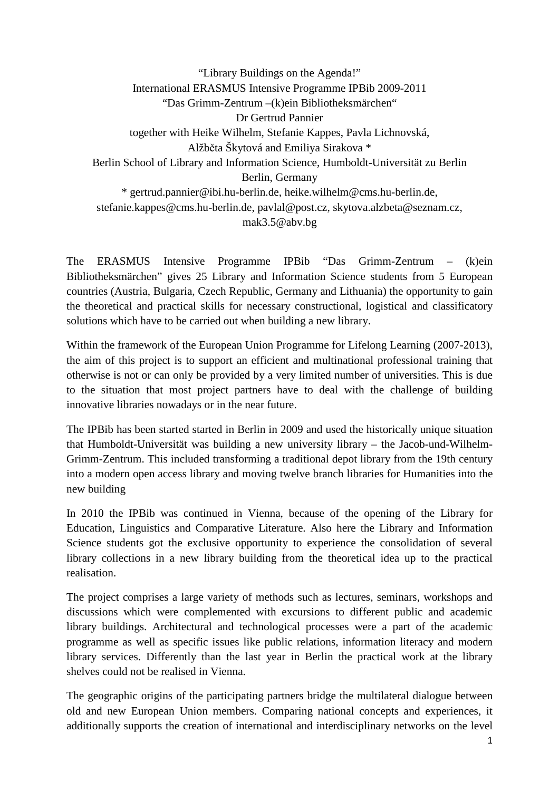"Library Buildings on the Agenda!" International ERASMUS Intensive Programme IPBib 2009-2011 "Das Grimm-Zentrum –(k)ein Bibliotheksmärchen" Dr Gertrud Pannier together with Heike Wilhelm, Stefanie Kappes, Pavla Lichnovská, Alžběta Škytová and Emiliya Sirakova \* Berlin School of Library and Information Science, Humboldt-Universität zu Berlin Berlin, Germany \* gertrud.pannier@ibi.hu-berlin.de, heike.wilhelm@cms.hu-berlin.de, stefanie.kappes@cms.hu-berlin.de, pavlal@post.cz, skytova.alzbeta@seznam.cz, mak3.5@abv.bg

The ERASMUS Intensive Programme IPBib "Das Grimm-Zentrum – (k)ein Bibliotheksmärchen" gives 25 Library and Information Science students from 5 European countries (Austria, Bulgaria, Czech Republic, Germany and Lithuania) the opportunity to gain the theoretical and practical skills for necessary constructional, logistical and classificatory solutions which have to be carried out when building a new library.

Within the framework of the European Union Programme for Lifelong Learning (2007-2013), the aim of this project is to support an efficient and multinational professional training that otherwise is not or can only be provided by a very limited number of universities. This is due to the situation that most project partners have to deal with the challenge of building innovative libraries nowadays or in the near future.

The IPBib has been started started in Berlin in 2009 and used the historically unique situation that Humboldt-Universität was building a new university library – the Jacob-und-Wilhelm-Grimm-Zentrum. This included transforming a traditional depot library from the 19th century into a modern open access library and moving twelve branch libraries for Humanities into the new building

In 2010 the IPBib was continued in Vienna, because of the opening of the Library for Education, Linguistics and Comparative Literature. Also here the Library and Information Science students got the exclusive opportunity to experience the consolidation of several library collections in a new library building from the theoretical idea up to the practical realisation.

The project comprises a large variety of methods such as lectures, seminars, workshops and discussions which were complemented with excursions to different public and academic library buildings. Architectural and technological processes were a part of the academic programme as well as specific issues like public relations, information literacy and modern library services. Differently than the last year in Berlin the practical work at the library shelves could not be realised in Vienna.

The geographic origins of the participating partners bridge the multilateral dialogue between old and new European Union members. Comparing national concepts and experiences, it additionally supports the creation of international and interdisciplinary networks on the level